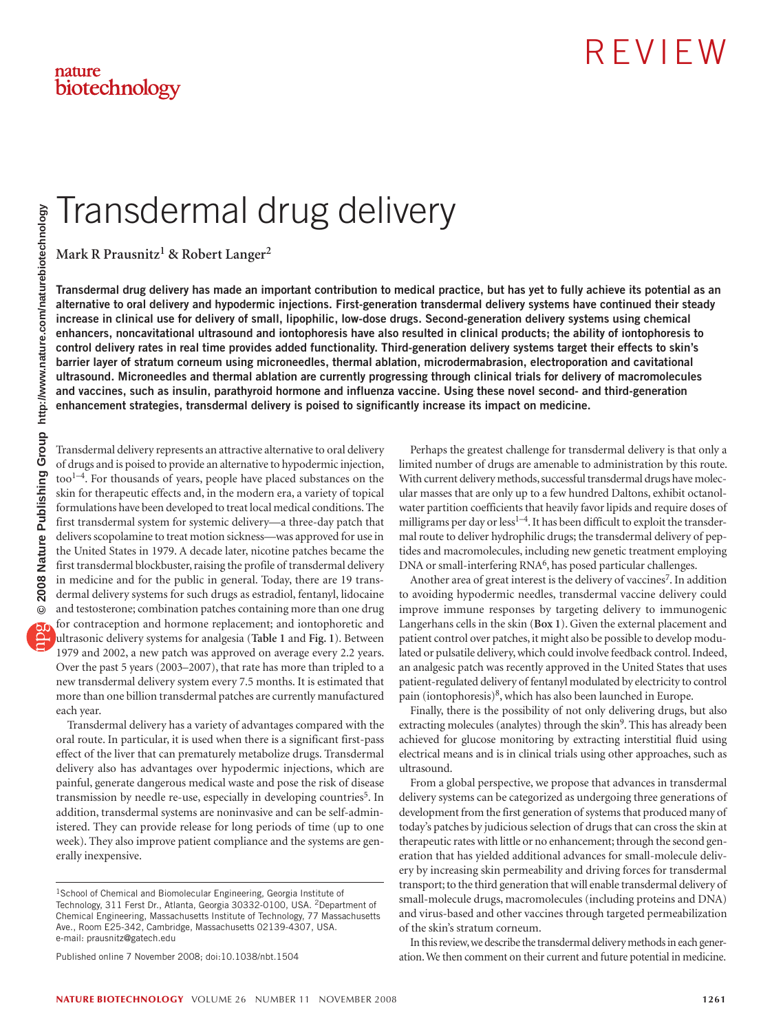# review

# Transdermal drug delivery

**Mark R Prausnitz1 & Robert Langer2**

**Transdermal drug delivery has made an important contribution to medical practice, but has yet to fully achieve its potential as an alternative to oral delivery and hypodermic injections. First-generation transdermal delivery systems have continued their steady increase in clinical use for delivery of small, lipophilic, low-dose drugs. Second-generation delivery systems using chemical enhancers, noncavitational ultrasound and iontophoresis have also resulted in clinical products; the ability of iontophoresis to control delivery rates in real time provides added functionality. Third-generation delivery systems target their effects to skin's barrier layer of stratum corneum using microneedles, thermal ablation, microdermabrasion, electroporation and cavitational ultrasound. Microneedles and thermal ablation are currently progressing through clinical trials for delivery of macromolecules and vaccines, such as insulin, parathyroid hormone and influenza vaccine. Using these novel second- and third-generation enhancement strategies, transdermal delivery is poised to significantly increase its impact on medicine.**

Transdermal delivery represents an attractive alternative to oral delivery of drugs and is poised to provide an alternative to hypodermic injection,  $\text{too}^{1-4}$ . For thousands of years, people have placed substances on the skin for therapeutic effects and, in the modern era, a variety of topical formulations have been developed to treat local medical conditions.The first transdermal system for systemic delivery—a three-day patch that delivers scopolamine to treat motion sickness—was approved for use in the United States in 1979. A decade later, nicotine patches became the first transdermal blockbuster, raising the profile of transdermal delivery in medicine and for the public in general. Today, there are 19 transdermal delivery systems for such drugs as estradiol, fentanyl, lidocaine and testosterone; combination patches containing more than one drug for contraception and hormone replacement; and iontophoretic and ultrasonic delivery systems for analgesia (**Table 1** and **Fig. 1**). Between 1979 and 2002, a new patch was approved on average every 2.2 years. Over the past 5 years (2003–2007), that rate has more than tripled to a new transdermal delivery system every 7.5 months. It is estimated that more than one billion transdermal patches are currently manufactured each year.

Transdermal delivery has a variety of advantages compared with the oral route. In particular, it is used when there is a significant first-pass effect of the liver that can prematurely metabolize drugs. Transdermal delivery also has advantages over hypodermic injections, which are painful, generate dangerous medical waste and pose the risk of disease transmission by needle re-use, especially in developing countries<sup>5</sup>. In addition, transdermal systems are noninvasive and can be self-administered. They can provide release for long periods of time (up to one week). They also improve patient compliance and the systems are generally inexpensive.

Perhaps the greatest challenge for transdermal delivery is that only a limited number of drugs are amenable to administration by this route. With current delivery methods, successful transdermal drugs have molecular masses that are only up to a few hundred Daltons, exhibit octanolwater partition coefficients that heavily favor lipids and require doses of milligrams per day or less<sup>1-4</sup>. It has been difficult to exploit the transdermal route to deliver hydrophilic drugs; the transdermal delivery of peptides and macromolecules, including new genetic treatment employing DNA or small-interfering RNA<sup>6</sup>, has posed particular challenges.

Another area of great interest is the delivery of vaccines<sup>7</sup>. In addition to avoiding hypodermic needles, transdermal vaccine delivery could improve immune responses by targeting delivery to immunogenic Langerhans cells in the skin (**Box 1**). Given the external placement and patient control over patches, it might also be possible to develop modulated or pulsatile delivery, which could involve feedback control. Indeed, an analgesic patch was recently approved in the United States that uses patient-regulated delivery of fentanyl modulated by electricity to control pain (iontophoresis)<sup>8</sup>, which has also been launched in Europe.

Finally, there is the possibility of not only delivering drugs, but also extracting molecules (analytes) through the skin<sup>9</sup>. This has already been achieved for glucose monitoring by extracting interstitial fluid using electrical means and is in clinical trials using other approaches, such as ultrasound.

From a global perspective, we propose that advances in transdermal delivery systems can be categorized as undergoing three generations of development from the first generation of systems that produced many of today's patches by judicious selection of drugs that can cross the skin at therapeutic rates with little or no enhancement; through the second generation that has yielded additional advances for small-molecule delivery by increasing skin permeability and driving forces for transdermal transport; to the third generation that will enable transdermal delivery of small-molecule drugs, macromolecules (including proteins and DNA) and virus-based and other vaccines through targeted permeabilization of the skin's stratum corneum.

In this review, we describe the transdermal delivery methods in each generation. We then comment on their current and future potential in medicine.

<sup>&</sup>lt;sup>1</sup>School of Chemical and Biomolecular Engineering, Georgia Institute of Technology, 311 Ferst Dr., Atlanta, Georgia 30332-0100, USA. 2Department of Chemical Engineering, Massachusetts Institute of Technology, 77 Massachusetts Ave., Room E25-342, Cambridge, Massachusetts 02139-4307, USA. e-mail: [prausnitz@gatech.edu](mailto:prausnitz@gatech.edu)

Published online 7 November 2008; doi:10.1038/nbt.1504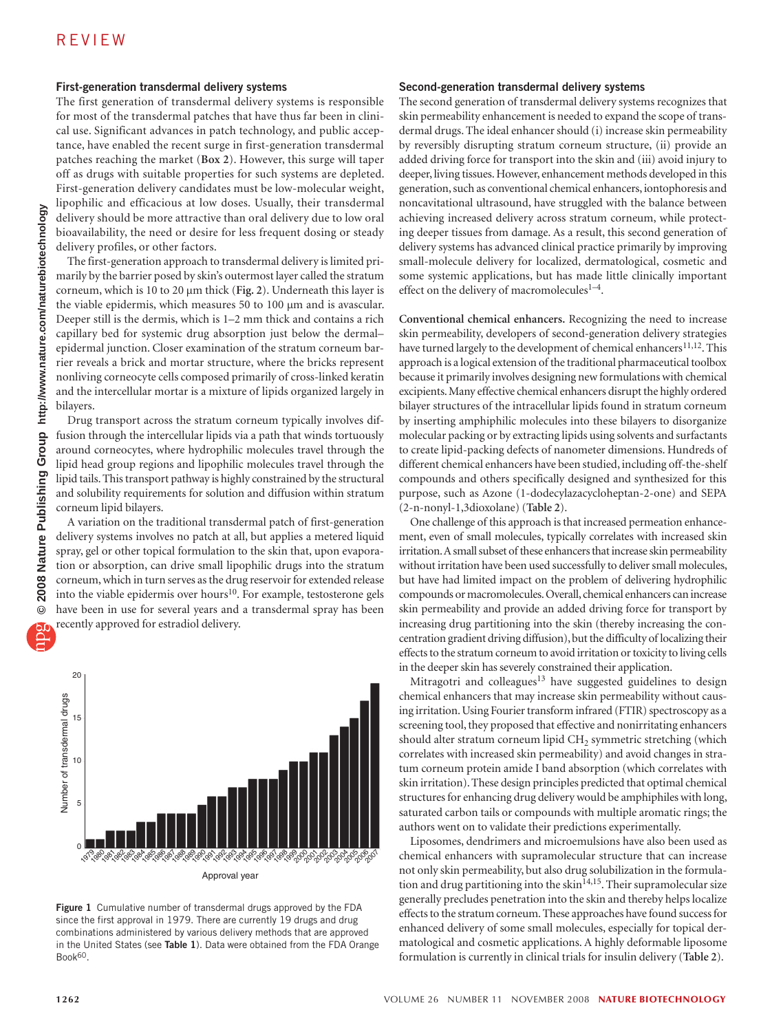#### **First-generation transdermal delivery systems**

The first generation of transdermal delivery systems is responsible for most of the transdermal patches that have thus far been in clinical use. Significant advances in patch technology, and public acceptance, have enabled the recent surge in first-generation transdermal patches reaching the market (**Box 2**). However, this surge will taper off as drugs with suitable properties for such systems are depleted. First-generation delivery candidates must be low-molecular weight, lipophilic and efficacious at low doses. Usually, their transdermal delivery should be more attractive than oral delivery due to low oral bioavailability, the need or desire for less frequent dosing or steady delivery profiles, or other factors.

The first-generation approach to transdermal delivery is limited primarily by the barrier posed by skin's outermost layer called the stratum corneum, which is 10 to 20 µm thick (**Fig. 2**). Underneath this layer is the viable epidermis, which measures 50 to 100 µm and is avascular. Deeper still is the dermis, which is 1–2 mm thick and contains a rich capillary bed for systemic drug absorption just below the dermal– epidermal junction. Closer examination of the stratum corneum barrier reveals a brick and mortar structure, where the bricks represent nonliving corneocyte cells composed primarily of cross-linked keratin and the intercellular mortar is a mixture of lipids organized largely in bilayers.

Drug transport across the stratum corneum typically involves diffusion through the intercellular lipids via a path that winds tortuously around corneocytes, where hydrophilic molecules travel through the lipid head group regions and lipophilic molecules travel through the lipid tails. This transport pathway is highly constrained by the structural and solubility requirements for solution and diffusion within stratum corneum lipid bilayers.

A variation on the traditional transdermal patch of first-generation delivery systems involves no patch at all, but applies a metered liquid spray, gel or other topical formulation to the skin that, upon evaporation or absorption, can drive small lipophilic drugs into the stratum corneum, which in turn serves as the drug reservoir for extended release into the viable epidermis over hours $^{10}$ . For example, testosterone gels have been in use for several years and a transdermal spray has been recently approved for estradiol delivery.



**Figure 1** Cumulative number of transdermal drugs approved by the FDA since the first approval in 1979. There are currently 19 drugs and drug combinations administered by various delivery methods that are approved in the United States (see **Table 1**). Data were obtained from the FDA Orange Book<sup>60</sup>.

### **Second-generation transdermal delivery systems**

The second generation of transdermal delivery systems recognizes that skin permeability enhancement is needed to expand the scope of transdermal drugs. The ideal enhancer should (i) increase skin permeability by reversibly disrupting stratum corneum structure, (ii) provide an added driving force for transport into the skin and (iii) avoid injury to deeper, living tissues. However, enhancement methods developed in this generation, such as conventional chemical enhancers, iontophoresis and noncavitational ultrasound, have struggled with the balance between achieving increased delivery across stratum corneum, while protecting deeper tissues from damage. As a result, this second generation of delivery systems has advanced clinical practice primarily by improving small-molecule delivery for localized, dermatological, cosmetic and some systemic applications, but has made little clinically important effect on the delivery of macromolecules $^{1-4}$ .

**Conventional chemical enhancers.** Recognizing the need to increase skin permeability, developers of second-generation delivery strategies have turned largely to the development of chemical enhancers<sup>11,12</sup>. This approach is a logical extension of the traditional pharmaceutical toolbox because it primarily involves designing new formulations with chemical excipients. Many effective chemical enhancers disrupt the highly ordered bilayer structures of the intracellular lipids found in stratum corneum by inserting amphiphilic molecules into these bilayers to disorganize molecular packing or by extracting lipids using solvents and surfactants to create lipid-packing defects of nanometer dimensions. Hundreds of different chemical enhancers have been studied, including off-the-shelf compounds and others specifically designed and synthesized for this purpose, such as Azone (1-dodecylazacycloheptan-2-one) and SEPA (2-n-nonyl-1,3dioxolane) (**Table 2**).

One challenge of this approach is that increased permeation enhancement, even of small molecules, typically correlates with increased skin irritation. A small subset of these enhancers that increase skin permeability without irritation have been used successfully to deliver small molecules, but have had limited impact on the problem of delivering hydrophilic compounds or macromolecules. Overall, chemical enhancers can increase skin permeability and provide an added driving force for transport by increasing drug partitioning into the skin (thereby increasing the concentration gradient driving diffusion), but the difficulty of localizing their effects to the stratum corneum to avoid irritation or toxicity to living cells in the deeper skin has severely constrained their application.

Mitragotri and colleagues $13$  have suggested guidelines to design chemical enhancers that may increase skin permeability without causing irritation. Using Fourier transform infrared (FTIR) spectroscopy as a screening tool, they proposed that effective and nonirritating enhancers should alter stratum corneum lipid  $CH<sub>2</sub>$  symmetric stretching (which correlates with increased skin permeability) and avoid changes in stratum corneum protein amide I band absorption (which correlates with skin irritation). These design principles predicted that optimal chemical structures for enhancing drug delivery would be amphiphiles with long, saturated carbon tails or compounds with multiple aromatic rings; the authors went on to validate their predictions experimentally.

Liposomes, dendrimers and microemulsions have also been used as chemical enhancers with supramolecular structure that can increase not only skin permeability, but also drug solubilization in the formulation and drug partitioning into the skin $14,15$ . Their supramolecular size generally precludes penetration into the skin and thereby helps localize effects to the stratum corneum. These approaches have found success for enhanced delivery of some small molecules, especially for topical dermatological and cosmetic applications. A highly deformable liposome formulation is currently in clinical trials for insulin delivery (**Table 2**).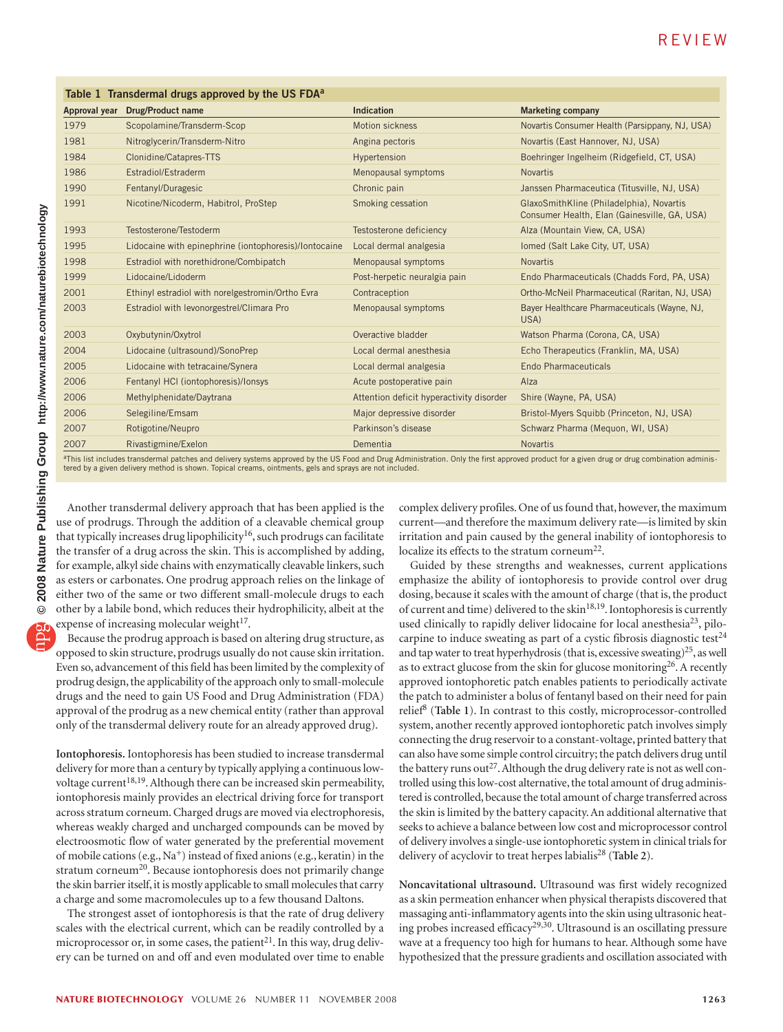| Approval year Drug/Product name<br><b>Indication</b><br><b>Marketing company</b><br><b>Motion sickness</b><br>Scopolamine/Transderm-Scop<br>Novartis Consumer Health (Parsippany, NJ, USA)<br>Nitroglycerin/Transderm-Nitro<br>Angina pectoris<br>Novartis (East Hannover, NJ, USA)<br>Clonidine/Catapres-TTS<br>Boehringer Ingelheim (Ridgefield, CT, USA)<br>Hypertension<br>Estradiol/Estraderm<br>Menopausal symptoms<br><b>Novartis</b><br>Fentanyl/Duragesic<br>Janssen Pharmaceutica (Titusville, NJ, USA)<br>Chronic pain<br>GlaxoSmithKline (Philadelphia), Novartis<br>Nicotine/Nicoderm, Habitrol, ProStep<br>Smoking cessation<br>Consumer Health, Elan (Gainesville, GA, USA)<br>Testosterone/Testoderm<br>Testosterone deficiency<br>Alza (Mountain View, CA, USA)<br>Iomed (Salt Lake City, UT, USA)<br>Lidocaine with epinephrine (iontophoresis)/lontocaine<br>Local dermal analgesia<br>Estradiol with norethidrone/Combipatch<br>Menopausal symptoms<br><b>Novartis</b><br>Lidocaine/Lidoderm<br>Post-herpetic neuralgia pain<br>Endo Pharmaceuticals (Chadds Ford, PA, USA)<br>Ethinyl estradiol with norelgestromin/Ortho Evra<br>Contraception<br>Ortho-McNeil Pharmaceutical (Raritan, NJ, USA)<br>Estradiol with levonorgestrel/Climara Pro<br>Bayer Healthcare Pharmaceuticals (Wayne, NJ,<br>Menopausal symptoms<br>USA)<br>Oxybutynin/Oxytrol<br>Overactive bladder<br>Watson Pharma (Corona, CA, USA)<br>Lidocaine (ultrasound)/SonoPrep<br>Local dermal anesthesia<br>Echo Therapeutics (Franklin, MA, USA)<br><b>Endo Pharmaceuticals</b><br>Lidocaine with tetracaine/Synera<br>Local dermal analgesia<br>Fentanyl HCI (iontophoresis)/lonsys<br>Acute postoperative pain<br>Alza<br>Methylphenidate/Daytrana<br>Attention deficit hyperactivity disorder<br>Shire (Wayne, PA, USA)<br>Major depressive disorder<br>Selegiline/Emsam<br>Bristol-Myers Squibb (Princeton, NJ, USA)<br>Parkinson's disease<br>Schwarz Pharma (Mequon, WI, USA)<br>Rotigotine/Neupro | Table 1 Transdermal drugs approved by the US FDA <sup>a</sup> |  |  |  |  |  |  |
|--------------------------------------------------------------------------------------------------------------------------------------------------------------------------------------------------------------------------------------------------------------------------------------------------------------------------------------------------------------------------------------------------------------------------------------------------------------------------------------------------------------------------------------------------------------------------------------------------------------------------------------------------------------------------------------------------------------------------------------------------------------------------------------------------------------------------------------------------------------------------------------------------------------------------------------------------------------------------------------------------------------------------------------------------------------------------------------------------------------------------------------------------------------------------------------------------------------------------------------------------------------------------------------------------------------------------------------------------------------------------------------------------------------------------------------------------------------------------------------------------------------------------------------------------------------------------------------------------------------------------------------------------------------------------------------------------------------------------------------------------------------------------------------------------------------------------------------------------------------------------------------------------------------------------------------------------------------------------------------------------|---------------------------------------------------------------|--|--|--|--|--|--|
|                                                                                                                                                                                                                                                                                                                                                                                                                                                                                                                                                                                                                                                                                                                                                                                                                                                                                                                                                                                                                                                                                                                                                                                                                                                                                                                                                                                                                                                                                                                                                                                                                                                                                                                                                                                                                                                                                                                                                                                                  |                                                               |  |  |  |  |  |  |
|                                                                                                                                                                                                                                                                                                                                                                                                                                                                                                                                                                                                                                                                                                                                                                                                                                                                                                                                                                                                                                                                                                                                                                                                                                                                                                                                                                                                                                                                                                                                                                                                                                                                                                                                                                                                                                                                                                                                                                                                  | 1979                                                          |  |  |  |  |  |  |
|                                                                                                                                                                                                                                                                                                                                                                                                                                                                                                                                                                                                                                                                                                                                                                                                                                                                                                                                                                                                                                                                                                                                                                                                                                                                                                                                                                                                                                                                                                                                                                                                                                                                                                                                                                                                                                                                                                                                                                                                  | 1981                                                          |  |  |  |  |  |  |
|                                                                                                                                                                                                                                                                                                                                                                                                                                                                                                                                                                                                                                                                                                                                                                                                                                                                                                                                                                                                                                                                                                                                                                                                                                                                                                                                                                                                                                                                                                                                                                                                                                                                                                                                                                                                                                                                                                                                                                                                  | 1984                                                          |  |  |  |  |  |  |
|                                                                                                                                                                                                                                                                                                                                                                                                                                                                                                                                                                                                                                                                                                                                                                                                                                                                                                                                                                                                                                                                                                                                                                                                                                                                                                                                                                                                                                                                                                                                                                                                                                                                                                                                                                                                                                                                                                                                                                                                  | 1986                                                          |  |  |  |  |  |  |
|                                                                                                                                                                                                                                                                                                                                                                                                                                                                                                                                                                                                                                                                                                                                                                                                                                                                                                                                                                                                                                                                                                                                                                                                                                                                                                                                                                                                                                                                                                                                                                                                                                                                                                                                                                                                                                                                                                                                                                                                  | 1990                                                          |  |  |  |  |  |  |
|                                                                                                                                                                                                                                                                                                                                                                                                                                                                                                                                                                                                                                                                                                                                                                                                                                                                                                                                                                                                                                                                                                                                                                                                                                                                                                                                                                                                                                                                                                                                                                                                                                                                                                                                                                                                                                                                                                                                                                                                  | 1991                                                          |  |  |  |  |  |  |
|                                                                                                                                                                                                                                                                                                                                                                                                                                                                                                                                                                                                                                                                                                                                                                                                                                                                                                                                                                                                                                                                                                                                                                                                                                                                                                                                                                                                                                                                                                                                                                                                                                                                                                                                                                                                                                                                                                                                                                                                  | 1993                                                          |  |  |  |  |  |  |
|                                                                                                                                                                                                                                                                                                                                                                                                                                                                                                                                                                                                                                                                                                                                                                                                                                                                                                                                                                                                                                                                                                                                                                                                                                                                                                                                                                                                                                                                                                                                                                                                                                                                                                                                                                                                                                                                                                                                                                                                  | 1995                                                          |  |  |  |  |  |  |
|                                                                                                                                                                                                                                                                                                                                                                                                                                                                                                                                                                                                                                                                                                                                                                                                                                                                                                                                                                                                                                                                                                                                                                                                                                                                                                                                                                                                                                                                                                                                                                                                                                                                                                                                                                                                                                                                                                                                                                                                  | 1998                                                          |  |  |  |  |  |  |
|                                                                                                                                                                                                                                                                                                                                                                                                                                                                                                                                                                                                                                                                                                                                                                                                                                                                                                                                                                                                                                                                                                                                                                                                                                                                                                                                                                                                                                                                                                                                                                                                                                                                                                                                                                                                                                                                                                                                                                                                  | 1999                                                          |  |  |  |  |  |  |
|                                                                                                                                                                                                                                                                                                                                                                                                                                                                                                                                                                                                                                                                                                                                                                                                                                                                                                                                                                                                                                                                                                                                                                                                                                                                                                                                                                                                                                                                                                                                                                                                                                                                                                                                                                                                                                                                                                                                                                                                  | 2001                                                          |  |  |  |  |  |  |
|                                                                                                                                                                                                                                                                                                                                                                                                                                                                                                                                                                                                                                                                                                                                                                                                                                                                                                                                                                                                                                                                                                                                                                                                                                                                                                                                                                                                                                                                                                                                                                                                                                                                                                                                                                                                                                                                                                                                                                                                  | 2003                                                          |  |  |  |  |  |  |
|                                                                                                                                                                                                                                                                                                                                                                                                                                                                                                                                                                                                                                                                                                                                                                                                                                                                                                                                                                                                                                                                                                                                                                                                                                                                                                                                                                                                                                                                                                                                                                                                                                                                                                                                                                                                                                                                                                                                                                                                  | 2003                                                          |  |  |  |  |  |  |
|                                                                                                                                                                                                                                                                                                                                                                                                                                                                                                                                                                                                                                                                                                                                                                                                                                                                                                                                                                                                                                                                                                                                                                                                                                                                                                                                                                                                                                                                                                                                                                                                                                                                                                                                                                                                                                                                                                                                                                                                  | 2004                                                          |  |  |  |  |  |  |
|                                                                                                                                                                                                                                                                                                                                                                                                                                                                                                                                                                                                                                                                                                                                                                                                                                                                                                                                                                                                                                                                                                                                                                                                                                                                                                                                                                                                                                                                                                                                                                                                                                                                                                                                                                                                                                                                                                                                                                                                  | 2005                                                          |  |  |  |  |  |  |
|                                                                                                                                                                                                                                                                                                                                                                                                                                                                                                                                                                                                                                                                                                                                                                                                                                                                                                                                                                                                                                                                                                                                                                                                                                                                                                                                                                                                                                                                                                                                                                                                                                                                                                                                                                                                                                                                                                                                                                                                  | 2006                                                          |  |  |  |  |  |  |
|                                                                                                                                                                                                                                                                                                                                                                                                                                                                                                                                                                                                                                                                                                                                                                                                                                                                                                                                                                                                                                                                                                                                                                                                                                                                                                                                                                                                                                                                                                                                                                                                                                                                                                                                                                                                                                                                                                                                                                                                  | 2006                                                          |  |  |  |  |  |  |
|                                                                                                                                                                                                                                                                                                                                                                                                                                                                                                                                                                                                                                                                                                                                                                                                                                                                                                                                                                                                                                                                                                                                                                                                                                                                                                                                                                                                                                                                                                                                                                                                                                                                                                                                                                                                                                                                                                                                                                                                  | 2006                                                          |  |  |  |  |  |  |
|                                                                                                                                                                                                                                                                                                                                                                                                                                                                                                                                                                                                                                                                                                                                                                                                                                                                                                                                                                                                                                                                                                                                                                                                                                                                                                                                                                                                                                                                                                                                                                                                                                                                                                                                                                                                                                                                                                                                                                                                  | 2007                                                          |  |  |  |  |  |  |
| Rivastigmine/Exelon<br>Dementia<br><b>Novartis</b>                                                                                                                                                                                                                                                                                                                                                                                                                                                                                                                                                                                                                                                                                                                                                                                                                                                                                                                                                                                                                                                                                                                                                                                                                                                                                                                                                                                                                                                                                                                                                                                                                                                                                                                                                                                                                                                                                                                                               | 2007                                                          |  |  |  |  |  |  |

<sup>a</sup>This list includes transdermal patches and delivery systems approved by the US Food and Drug Administration. Only the first approved product for a given drug or drug combination adminis-<br>tered by a given delivery method

Another transdermal delivery approach that has been applied is the use of prodrugs. Through the addition of a cleavable chemical group that typically increases drug lipophilicity<sup>16</sup>, such prodrugs can facilitate the transfer of a drug across the skin. This is accomplished by adding, for example, alkyl side chains with enzymatically cleavable linkers, such as esters or carbonates. One prodrug approach relies on the linkage of either two of the same or two different small-molecule drugs to each other by a labile bond, which reduces their hydrophilicity, albeit at the expense of increasing molecular weight $17$ .

Because the prodrug approach is based on altering drug structure, as opposed to skin structure, prodrugs usually do not cause skin irritation. Even so, advancement of this field has been limited by the complexity of prodrug design, the applicability of the approach only to small-molecule drugs and the need to gain US Food and Drug Administration (FDA) approval of the prodrug as a new chemical entity (rather than approval only of the transdermal delivery route for an already approved drug).

**Iontophoresis.** Iontophoresis has been studied to increase transdermal delivery for more than a century by typically applying a continuous lowvoltage current<sup>18,19</sup>. Although there can be increased skin permeability, iontophoresis mainly provides an electrical driving force for transport across stratum corneum. Charged drugs are moved via electrophoresis, whereas weakly charged and uncharged compounds can be moved by electroosmotic flow of water generated by the preferential movement of mobile cations (e.g.,  $Na^+$ ) instead of fixed anions (e.g., keratin) in the stratum corneum<sup>20</sup>. Because iontophoresis does not primarily change the skin barrier itself, it is mostly applicable to small molecules that carry a charge and some macromolecules up to a few thousand Daltons.

The strongest asset of iontophoresis is that the rate of drug delivery scales with the electrical current, which can be readily controlled by a microprocessor or, in some cases, the patient<sup>21</sup>. In this way, drug delivery can be turned on and off and even modulated over time to enable complex delivery profiles. One of us found that, however, the maximum current—and therefore the maximum delivery rate—is limited by skin irritation and pain caused by the general inability of iontophoresis to localize its effects to the stratum corneum<sup>22</sup>.

Guided by these strengths and weaknesses, current applications emphasize the ability of iontophoresis to provide control over drug dosing, because it scales with the amount of charge (that is, the product of current and time) delivered to the skin<sup>18,19</sup>. Iontophoresis is currently used clinically to rapidly deliver lidocaine for local anesthesia<sup>23</sup>, pilocarpine to induce sweating as part of a cystic fibrosis diagnostic test $^{24}$ and tap water to treat hyperhydrosis (that is, excessive sweating)<sup>25</sup>, as well as to extract glucose from the skin for glucose monitoring<sup>26</sup>. A recently approved iontophoretic patch enables patients to periodically activate the patch to administer a bolus of fentanyl based on their need for pain relief8 (**Table 1**). In contrast to this costly, microprocessor-controlled system, another recently approved iontophoretic patch involves simply connecting the drug reservoir to a constant-voltage, printed battery that can also have some simple control circuitry; the patch delivers drug until the battery runs out<sup>27</sup>. Although the drug delivery rate is not as well controlled using this low-cost alternative, the total amount of drug administered is controlled, because the total amount of charge transferred across the skin is limited by the battery capacity. An additional alternative that seeks to achieve a balance between low cost and microprocessor control of delivery involves a single-use iontophoretic system in clinical trials for delivery of acyclovir to treat herpes labialis28 (**Table 2**).

**Noncavitational ultrasound.** Ultrasound was first widely recognized as a skin permeation enhancer when physical therapists discovered that massaging anti-inflammatory agents into the skin using ultrasonic heating probes increased efficacy29,30. Ultrasound is an oscillating pressure wave at a frequency too high for humans to hear. Although some have hypothesized that the pressure gradients and oscillation associated with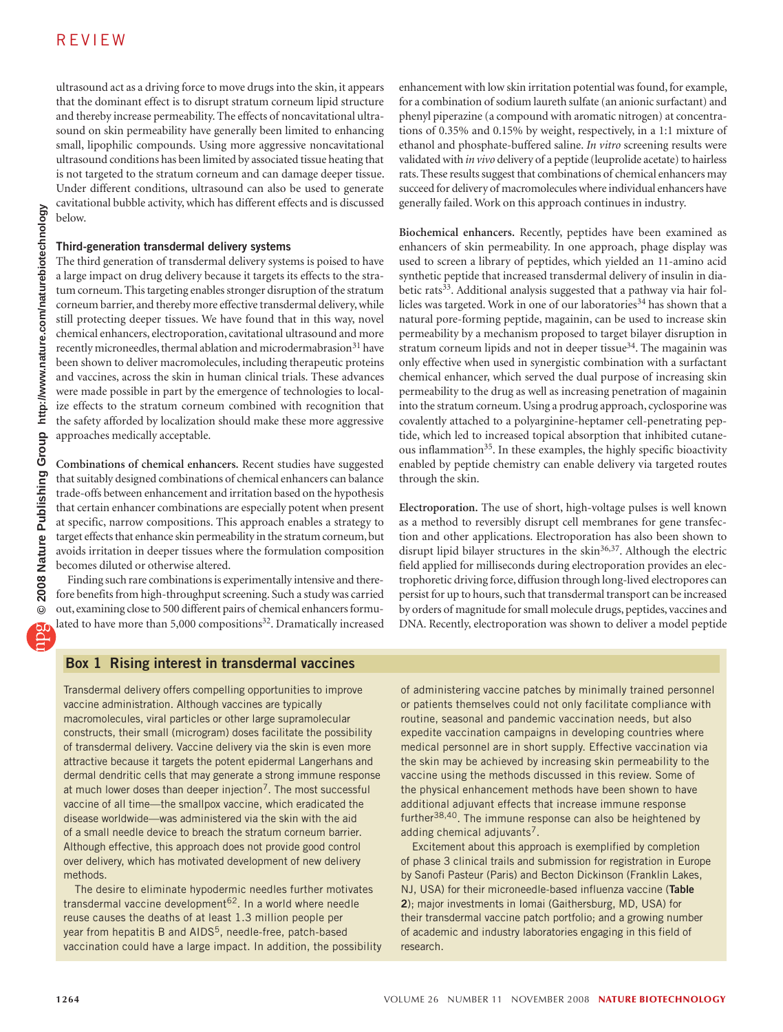ultrasound act as a driving force to move drugs into the skin, it appears that the dominant effect is to disrupt stratum corneum lipid structure and thereby increase permeability. The effects of noncavitational ultrasound on skin permeability have generally been limited to enhancing small, lipophilic compounds. Using more aggressive noncavitational ultrasound conditions has been limited by associated tissue heating that is not targeted to the stratum corneum and can damage deeper tissue. Under different conditions, ultrasound can also be used to generate cavitational bubble activity, which has different effects and is discussed below.

## **Third-generation transdermal delivery systems**

The third generation of transdermal delivery systems is poised to have a large impact on drug delivery because it targets its effects to the stratum corneum. This targeting enables stronger disruption of the stratum corneum barrier, and thereby more effective transdermal delivery, while still protecting deeper tissues. We have found that in this way, novel chemical enhancers, electroporation, cavitational ultrasound and more recently microneedles, thermal ablation and microdermabrasion<sup>31</sup> have been shown to deliver macromolecules, including therapeutic proteins and vaccines, across the skin in human clinical trials. These advances were made possible in part by the emergence of technologies to localize effects to the stratum corneum combined with recognition that the safety afforded by localization should make these more aggressive approaches medically acceptable.

**Combinations of chemical enhancers.** Recent studies have suggested that suitably designed combinations of chemical enhancers can balance trade-offs between enhancement and irritation based on the hypothesis that certain enhancer combinations are especially potent when present at specific, narrow compositions. This approach enables a strategy to target effects that enhance skin permeability in the stratum corneum, but avoids irritation in deeper tissues where the formulation composition becomes diluted or otherwise altered.

Finding such rare combinations is experimentally intensive and therefore benefits from high-throughput screening. Such a study was carried out, examining close to 500 different pairs of chemical enhancers formulated to have more than 5,000 compositions<sup>32</sup>. Dramatically increased enhancement with low skin irritation potential was found, for example, for a combination of sodium laureth sulfate (an anionic surfactant) and phenyl piperazine (a compound with aromatic nitrogen) at concentrations of 0.35% and 0.15% by weight, respectively, in a 1:1 mixture of ethanol and phosphate-buffered saline. *In vitro* screening results were validated with *in vivo* delivery of a peptide (leuprolide acetate) to hairless rats. These results suggest that combinations of chemical enhancers may succeed for delivery of macromolecules where individual enhancers have generally failed. Work on this approach continues in industry.

**Biochemical enhancers.** Recently, peptides have been examined as enhancers of skin permeability. In one approach, phage display was used to screen a library of peptides, which yielded an 11-amino acid synthetic peptide that increased transdermal delivery of insulin in diabetic rats<sup>33</sup>. Additional analysis suggested that a pathway via hair follicles was targeted. Work in one of our laboratories<sup>34</sup> has shown that a natural pore-forming peptide, magainin, can be used to increase skin permeability by a mechanism proposed to target bilayer disruption in stratum corneum lipids and not in deeper tissue $34$ . The magainin was only effective when used in synergistic combination with a surfactant chemical enhancer, which served the dual purpose of increasing skin permeability to the drug as well as increasing penetration of magainin into the stratum corneum. Using a prodrug approach, cyclosporine was covalently attached to a polyarginine-heptamer cell-penetrating peptide, which led to increased topical absorption that inhibited cutaneous inflammation<sup>35</sup>. In these examples, the highly specific bioactivity enabled by peptide chemistry can enable delivery via targeted routes through the skin.

**Electroporation.** The use of short, high-voltage pulses is well known as a method to reversibly disrupt cell membranes for gene transfection and other applications. Electroporation has also been shown to disrupt lipid bilayer structures in the skin $36,37$ . Although the electric field applied for milliseconds during electroporation provides an electrophoretic driving force, diffusion through long-lived electropores can persist for up to hours, such that transdermal transport can be increased by orders of magnitude for small molecule drugs, peptides, vaccines and DNA. Recently, electroporation was shown to deliver a model peptide

## **Box 1 Rising interest in transdermal vaccines**

Transdermal delivery offers compelling opportunities to improve vaccine administration. Although vaccines are typically macromolecules, viral particles or other large supramolecular constructs, their small (microgram) doses facilitate the possibility of transdermal delivery. Vaccine delivery via the skin is even more attractive because it targets the potent epidermal Langerhans and dermal dendritic cells that may generate a strong immune response at much lower doses than deeper injection<sup>7</sup>. The most successful vaccine of all time—the smallpox vaccine, which eradicated the disease worldwide—was administered via the skin with the aid of a small needle device to breach the stratum corneum barrier. Although effective, this approach does not provide good control over delivery, which has motivated development of new delivery methods.

The desire to eliminate hypodermic needles further motivates transdermal vaccine development<sup>62</sup>. In a world where needle reuse causes the deaths of at least 1.3 million people per year from hepatitis B and AIDS<sup>5</sup>, needle-free, patch-based vaccination could have a large impact. In addition, the possibility of administering vaccine patches by minimally trained personnel or patients themselves could not only facilitate compliance with routine, seasonal and pandemic vaccination needs, but also expedite vaccination campaigns in developing countries where medical personnel are in short supply. Effective vaccination via the skin may be achieved by increasing skin permeability to the vaccine using the methods discussed in this review. Some of the physical enhancement methods have been shown to have additional adjuvant effects that increase immune response further<sup>38,40</sup>. The immune response can also be heightened by adding chemical adjuvants<sup>7</sup>.

Excitement about this approach is exemplified by completion of phase 3 clinical trails and submission for registration in Europe by Sanofi Pasteur (Paris) and Becton Dickinson (Franklin Lakes, NJ, USA) for their microneedle-based influenza vaccine (**Table 2**); major investments in Iomai (Gaithersburg, MD, USA) for their transdermal vaccine patch portfolio; and a growing number of academic and industry laboratories engaging in this field of research.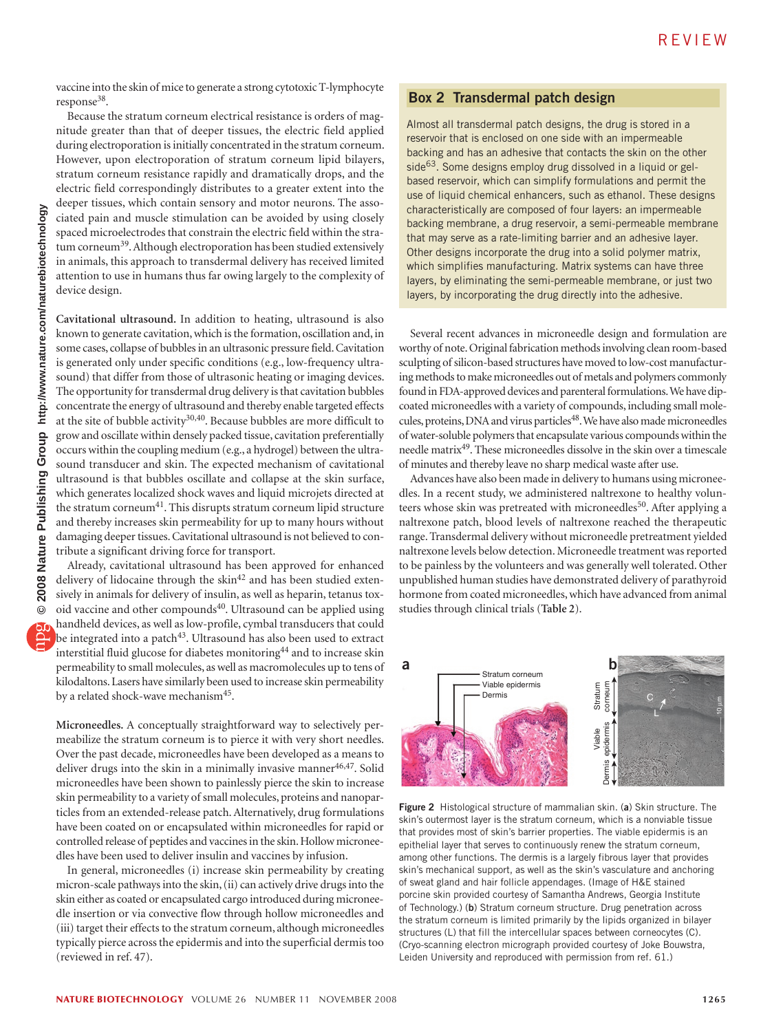vaccine into the skin of mice to generate a strong cytotoxic T-lymphocyte response<sup>38</sup>.

Because the stratum corneum electrical resistance is orders of magnitude greater than that of deeper tissues, the electric field applied during electroporation is initially concentrated in the stratum corneum. However, upon electroporation of stratum corneum lipid bilayers, stratum corneum resistance rapidly and dramatically drops, and the electric field correspondingly distributes to a greater extent into the deeper tissues, which contain sensory and motor neurons. The associated pain and muscle stimulation can be avoided by using closely spaced microelectrodes that constrain the electric field within the stratum corneum<sup>39</sup>. Although electroporation has been studied extensively in animals, this approach to transdermal delivery has received limited attention to use in humans thus far owing largely to the complexity of device design.

**Cavitational ultrasound.** In addition to heating, ultrasound is also known to generate cavitation, which is the formation, oscillation and, in some cases, collapse of bubbles in an ultrasonic pressure field. Cavitation is generated only under specific conditions (e.g., low-frequency ultrasound) that differ from those of ultrasonic heating or imaging devices. The opportunity for transdermal drug delivery is that cavitation bubbles concentrate the energy of ultrasound and thereby enable targeted effects at the site of bubble activity<sup>30,40</sup>. Because bubbles are more difficult to grow and oscillate within densely packed tissue, cavitation preferentially occurs within the coupling medium (e.g., a hydrogel) between the ultrasound transducer and skin. The expected mechanism of cavitational ultrasound is that bubbles oscillate and collapse at the skin surface, which generates localized shock waves and liquid microjets directed at the stratum corneum<sup>41</sup>. This disrupts stratum corneum lipid structure and thereby increases skin permeability for up to many hours without damaging deeper tissues. Cavitational ultrasound is not believed to contribute a significant driving force for transport.

Already, cavitational ultrasound has been approved for enhanced delivery of lidocaine through the skin<sup>42</sup> and has been studied extensively in animals for delivery of insulin, as well as heparin, tetanus toxoid vaccine and other compounds<sup>40</sup>. Ultrasound can be applied using handheld devices, as well as low-profile, cymbal transducers that could be integrated into a patch<sup>43</sup>. Ultrasound has also been used to extract interstitial fluid glucose for diabetes monitoring<sup>44</sup> and to increase skin permeability to small molecules, as well as macromolecules up to tens of kilodaltons. Lasers have similarly been used to increase skin permeability by a related shock-wave mechanism<sup>45</sup>.

**Microneedles.** A conceptually straightforward way to selectively permeabilize the stratum corneum is to pierce it with very short needles. Over the past decade, microneedles have been developed as a means to deliver drugs into the skin in a minimally invasive manner $46,47$ . Solid microneedles have been shown to painlessly pierce the skin to increase skin permeability to a variety of small molecules, proteins and nanoparticles from an extended-release patch. Alternatively, drug formulations have been coated on or encapsulated within microneedles for rapid or controlled release of peptides and vaccines in the skin. Hollow microneedles have been used to deliver insulin and vaccines by infusion.

In general, microneedles (i) increase skin permeability by creating micron-scale pathways into the skin, (ii) can actively drive drugs into the skin either as coated or encapsulated cargo introduced during microneedle insertion or via convective flow through hollow microneedles and (iii) target their effects to the stratum corneum, although microneedles typically pierce across the epidermis and into the superficial dermis too (reviewed in ref. 47).

## **Box 2 Transdermal patch design**

Almost all transdermal patch designs, the drug is stored in a reservoir that is enclosed on one side with an impermeable backing and has an adhesive that contacts the skin on the other side<sup>63</sup>. Some designs employ drug dissolved in a liquid or gelbased reservoir, which can simplify formulations and permit the use of liquid chemical enhancers, such as ethanol. These designs characteristically are composed of four layers: an impermeable backing membrane, a drug reservoir, a semi-permeable membrane that may serve as a rate-limiting barrier and an adhesive layer. Other designs incorporate the drug into a solid polymer matrix, which simplifies manufacturing. Matrix systems can have three layers, by eliminating the semi-permeable membrane, or just two layers, by incorporating the drug directly into the adhesive.

Several recent advances in microneedle design and formulation are worthy of note. Original fabrication methods involving clean room-based sculpting of silicon-based structures have moved to low-cost manufacturing methods to make microneedles out of metals and polymers commonly found in FDA-approved devices and parenteral formulations. We have dipcoated microneedles with a variety of compounds, including small molecules, proteins, DNA and virus particles<sup>48</sup>. We have also made microneedles of water-soluble polymers that encapsulate various compounds within the needle matrix49. These microneedles dissolve in the skin over a timescale of minutes and thereby leave no sharp medical waste after use.

Advances have also been made in delivery to humans using microneedles. In a recent study, we administered naltrexone to healthy volunteers whose skin was pretreated with microneedles<sup>50</sup>. After applying a naltrexone patch, blood levels of naltrexone reached the therapeutic range. Transdermal delivery without microneedle pretreatment yielded naltrexone levels below detection. Microneedle treatment was reported to be painless by the volunteers and was generally well tolerated. Other unpublished human studies have demonstrated delivery of parathyroid hormone from coated microneedles, which have advanced from animal studies through clinical trials (**Table 2**).



**Figure 2** Histological structure of mammalian skin. (**a**) Skin structure. The skin's outermost layer is the stratum corneum, which is a nonviable tissue that provides most of skin's barrier properties. The viable epidermis is an epithelial layer that serves to continuously renew the stratum corneum, among other functions. The dermis is a largely fibrous layer that provides skin's mechanical support, as well as the skin's vasculature and anchoring of sweat gland and hair follicle appendages. (Image of H&E stained porcine skin provided courtesy of Samantha Andrews, Georgia Institute of Technology.) (**b**) Stratum corneum structure. Drug penetration across the stratum corneum is limited primarily by the lipids organized in bilayer structures (L) that fill the intercellular spaces between corneocytes (C). (Cryo-scanning electron micrograph provided courtesy of Joke Bouwstra, Leiden University and reproduced with permission from ref. 61.)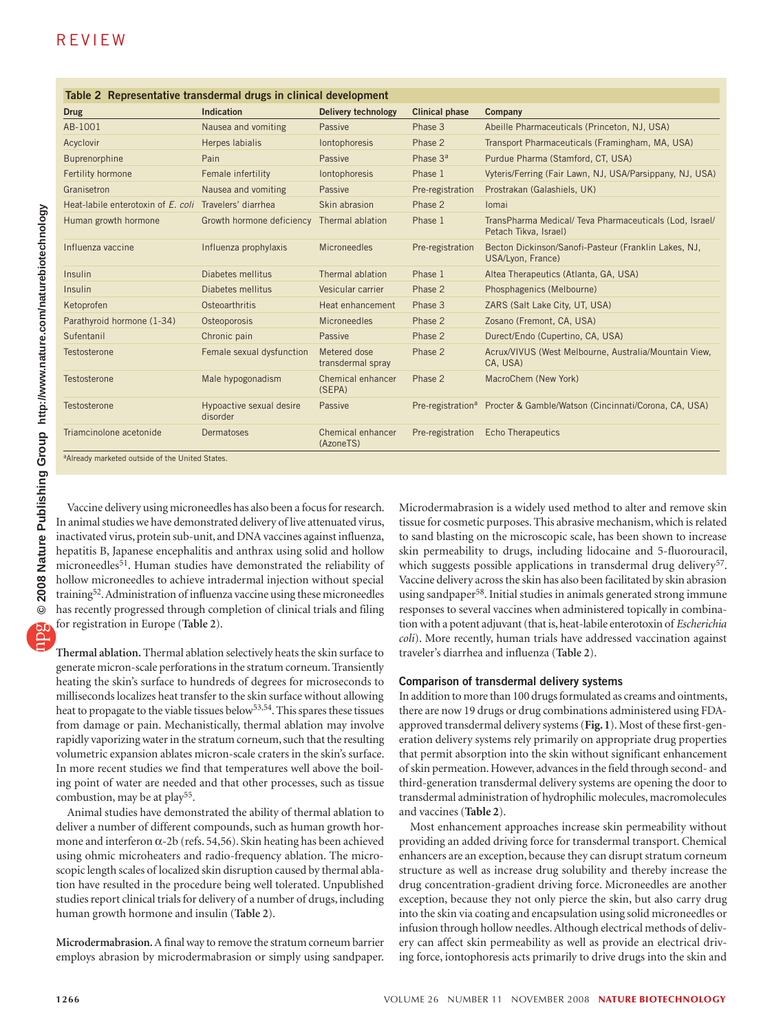| Table 2 Representative transdermal drugs in clinical development |                                      |                                       |                       |                                                                                    |  |  |  |
|------------------------------------------------------------------|--------------------------------------|---------------------------------------|-----------------------|------------------------------------------------------------------------------------|--|--|--|
| <b>Drug</b>                                                      | <b>Indication</b>                    | <b>Delivery technology</b>            | <b>Clinical phase</b> | Company                                                                            |  |  |  |
| AB-1001                                                          | Nausea and vomiting                  | Passive                               | Phase 3               | Abeille Pharmaceuticals (Princeton, NJ, USA)                                       |  |  |  |
| Acyclovir                                                        | <b>Herpes labialis</b>               | Iontophoresis                         | Phase 2               | Transport Pharmaceuticals (Framingham, MA, USA)                                    |  |  |  |
| Buprenorphine                                                    | Pain                                 | Passive                               | Phase 3 <sup>a</sup>  | Purdue Pharma (Stamford, CT, USA)                                                  |  |  |  |
| Fertility hormone                                                | Female infertility                   | Iontophoresis                         | Phase 1               | Vyteris/Ferring (Fair Lawn, NJ, USA/Parsippany, NJ, USA)                           |  |  |  |
| Granisetron                                                      | Nausea and vomiting                  | Passive                               | Pre-registration      | Prostrakan (Galashiels, UK)                                                        |  |  |  |
| Heat-labile enterotoxin of E. coli Travelers' diarrhea           |                                      | Skin abrasion                         | Phase 2               | Iomai                                                                              |  |  |  |
| Human growth hormone                                             | Growth hormone deficiency            | Thermal ablation                      | Phase 1               | TransPharma Medical/ Teva Pharmaceuticals (Lod. Israel/<br>Petach Tikva, Israel)   |  |  |  |
| Influenza vaccine                                                | Influenza prophylaxis                | <b>Microneedles</b>                   | Pre-registration      | Becton Dickinson/Sanofi-Pasteur (Franklin Lakes, NJ,<br>USA/Lyon, France)          |  |  |  |
| Insulin                                                          | Diabetes mellitus                    | Thermal ablation                      | Phase 1               | Altea Therapeutics (Atlanta, GA, USA)                                              |  |  |  |
| Insulin                                                          | Diabetes mellitus                    | Vesicular carrier                     | Phase 2               | Phosphagenics (Melbourne)                                                          |  |  |  |
| Ketoprofen                                                       | Osteoarthritis                       | Heat enhancement                      | Phase 3               | ZARS (Salt Lake City, UT, USA)                                                     |  |  |  |
| Parathyroid hormone (1-34)                                       | Osteoporosis                         | <b>Microneedles</b>                   | Phase 2               | Zosano (Fremont, CA, USA)                                                          |  |  |  |
| Sufentanil                                                       | Chronic pain                         | Passive                               | Phase 2               | Durect/Endo (Cupertino, CA, USA)                                                   |  |  |  |
| Testosterone                                                     | Female sexual dysfunction            | Metered dose<br>transdermal spray     | Phase 2               | Acrux/VIVUS (West Melbourne, Australia/Mountain View,<br>CA, USA)                  |  |  |  |
| Testosterone                                                     | Male hypogonadism                    | Chemical enhancer<br>(SEPA)           | Phase 2               | MacroChem (New York)                                                               |  |  |  |
| Testosterone                                                     | Hypoactive sexual desire<br>disorder | Passive                               |                       | Pre-registration <sup>a</sup> Procter & Gamble/Watson (Cincinnati/Corona, CA, USA) |  |  |  |
| Triamcinolone acetonide                                          | <b>Dermatoses</b>                    | <b>Chemical enhancer</b><br>(AzoneTS) | Pre-registration      | <b>Echo Therapeutics</b>                                                           |  |  |  |
| <sup>a</sup> Already marketed outside of the United States.      |                                      |                                       |                       |                                                                                    |  |  |  |

Vaccine delivery using microneedles has also been a focus for research. In animal studies we have demonstrated delivery of live attenuated virus, inactivated virus, protein sub-unit, and DNA vaccines against influenza, hepatitis B, Japanese encephalitis and anthrax using solid and hollow microneedles<sup>51</sup>. Human studies have demonstrated the reliability of hollow microneedles to achieve intradermal injection without special training52. Administration of influenza vaccine using these microneedles has recently progressed through completion of clinical trials and filing for registration in Europe (**Table 2**).

**Thermal ablation.** Thermal ablation selectively heats the skin surface to generate micron-scale perforations in the stratum corneum. Transiently heating the skin's surface to hundreds of degrees for microseconds to milliseconds localizes heat transfer to the skin surface without allowing heat to propagate to the viable tissues below<sup>53,54</sup>. This spares these tissues from damage or pain. Mechanistically, thermal ablation may involve rapidly vaporizing water in the stratum corneum, such that the resulting volumetric expansion ablates micron-scale craters in the skin's surface. In more recent studies we find that temperatures well above the boiling point of water are needed and that other processes, such as tissue combustion, may be at play<sup>55</sup>.

Animal studies have demonstrated the ability of thermal ablation to deliver a number of different compounds, such as human growth hormone and interferon α-2b (refs. 54,56). Skin heating has been achieved using ohmic microheaters and radio-frequency ablation. The microscopic length scales of localized skin disruption caused by thermal ablation have resulted in the procedure being well tolerated. Unpublished studies report clinical trials for delivery of a number of drugs, including human growth hormone and insulin (**Table 2**).

**Microdermabrasion.** A final way to remove the stratum corneum barrier employs abrasion by microdermabrasion or simply using sandpaper.

Microdermabrasion is a widely used method to alter and remove skin tissue for cosmetic purposes. This abrasive mechanism, which is related to sand blasting on the microscopic scale, has been shown to increase skin permeability to drugs, including lidocaine and 5-fluorouracil, which suggests possible applications in transdermal drug delivery<sup>57</sup>. Vaccine delivery across the skin has also been facilitated by skin abrasion using sandpaper<sup>58</sup>. Initial studies in animals generated strong immune responses to several vaccines when administered topically in combination with a potent adjuvant (that is, heat-labile enterotoxin of *Escherichia coli*). More recently, human trials have addressed vaccination against traveler's diarrhea and influenza (**Table 2**).

### **Comparison of transdermal delivery systems**

In addition to more than 100 drugs formulated as creams and ointments, there are now 19 drugs or drug combinations administered using FDAapproved transdermal delivery systems (**Fig. 1**). Most of these first-generation delivery systems rely primarily on appropriate drug properties that permit absorption into the skin without significant enhancement of skin permeation. However, advances in the field through second- and third-generation transdermal delivery systems are opening the door to transdermal administration of hydrophilic molecules, macromolecules and vaccines (**Table 2**).

Most enhancement approaches increase skin permeability without providing an added driving force for transdermal transport. Chemical enhancers are an exception, because they can disrupt stratum corneum structure as well as increase drug solubility and thereby increase the drug concentration-gradient driving force. Microneedles are another exception, because they not only pierce the skin, but also carry drug into the skin via coating and encapsulation using solid microneedles or infusion through hollow needles. Although electrical methods of delivery can affect skin permeability as well as provide an electrical driving force, iontophoresis acts primarily to drive drugs into the skin and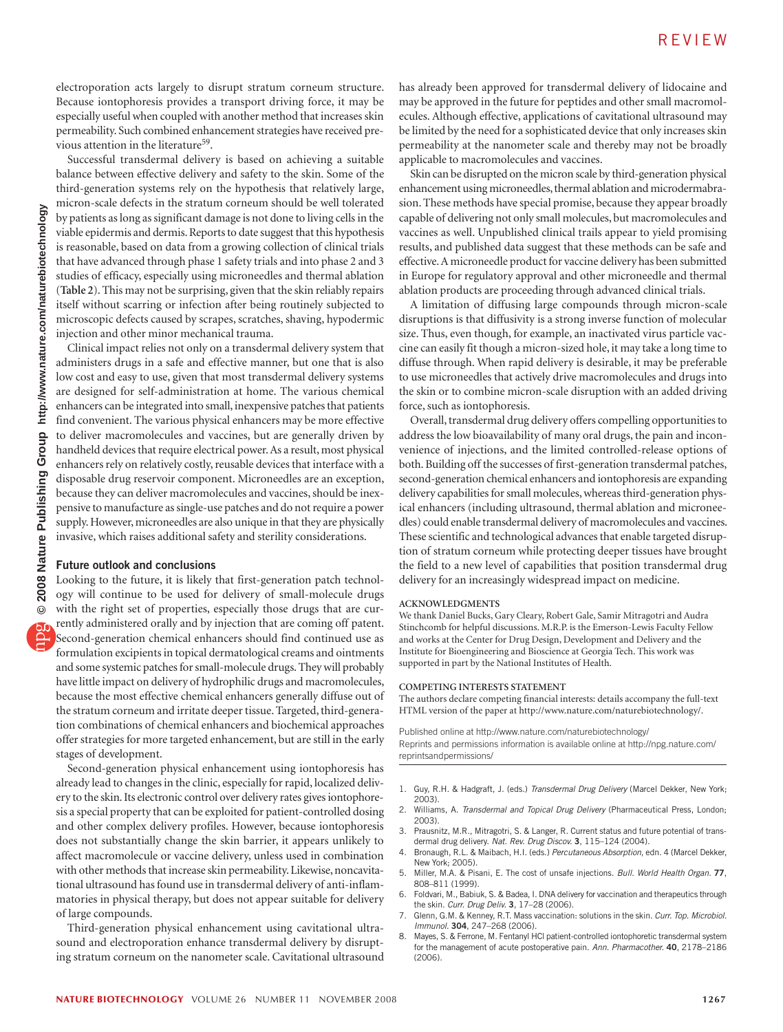electroporation acts largely to disrupt stratum corneum structure. Because iontophoresis provides a transport driving force, it may be especially useful when coupled with another method that increases skin permeability. Such combined enhancement strategies have received previous attention in the literature<sup>59</sup>.

Successful transdermal delivery is based on achieving a suitable balance between effective delivery and safety to the skin. Some of the third-generation systems rely on the hypothesis that relatively large, micron-scale defects in the stratum corneum should be well tolerated by patients as long as significant damage is not done to living cells in the viable epidermis and dermis. Reports to date suggest that this hypothesis is reasonable, based on data from a growing collection of clinical trials that have advanced through phase 1 safety trials and into phase 2 and 3 studies of efficacy, especially using microneedles and thermal ablation (**Table 2**). This may not be surprising, given that the skin reliably repairs itself without scarring or infection after being routinely subjected to microscopic defects caused by scrapes, scratches, shaving, hypodermic injection and other minor mechanical trauma.

Clinical impact relies not only on a transdermal delivery system that administers drugs in a safe and effective manner, but one that is also low cost and easy to use, given that most transdermal delivery systems are designed for self-administration at home. The various chemical enhancers can be integrated into small, inexpensive patches that patients find convenient. The various physical enhancers may be more effective to deliver macromolecules and vaccines, but are generally driven by handheld devices that require electrical power. As a result, most physical enhancers rely on relatively costly, reusable devices that interface with a disposable drug reservoir component. Microneedles are an exception, because they can deliver macromolecules and vaccines, should be inexpensive to manufacture as single-use patches and do not require a power supply. However, microneedles are also unique in that they are physically invasive, which raises additional safety and sterility considerations.

#### **Future outlook and conclusions**

Looking to the future, it is likely that first-generation patch technology will continue to be used for delivery of small-molecule drugs with the right set of properties, especially those drugs that are currently administered orally and by injection that are coming off patent. Second-generation chemical enhancers should find continued use as formulation excipients in topical dermatological creams and ointments and some systemic patches for small-molecule drugs. They will probably have little impact on delivery of hydrophilic drugs and macromolecules, because the most effective chemical enhancers generally diffuse out of the stratum corneum and irritate deeper tissue. Targeted, third-generation combinations of chemical enhancers and biochemical approaches offer strategies for more targeted enhancement, but are still in the early stages of development.

Second-generation physical enhancement using iontophoresis has already lead to changes in the clinic, especially for rapid, localized delivery to the skin. Its electronic control over delivery rates gives iontophoresis a special property that can be exploited for patient-controlled dosing and other complex delivery profiles. However, because iontophoresis does not substantially change the skin barrier, it appears unlikely to affect macromolecule or vaccine delivery, unless used in combination with other methods that increase skin permeability. Likewise, noncavitational ultrasound has found use in transdermal delivery of anti-inflammatories in physical therapy, but does not appear suitable for delivery of large compounds.

Third-generation physical enhancement using cavitational ultrasound and electroporation enhance transdermal delivery by disrupting stratum corneum on the nanometer scale. Cavitational ultrasound has already been approved for transdermal delivery of lidocaine and may be approved in the future for peptides and other small macromolecules. Although effective, applications of cavitational ultrasound may be limited by the need for a sophisticated device that only increases skin permeability at the nanometer scale and thereby may not be broadly applicable to macromolecules and vaccines.

Skin can be disrupted on the micron scale by third-generation physical enhancement using microneedles, thermal ablation and microdermabrasion. These methods have special promise, because they appear broadly capable of delivering not only small molecules, but macromolecules and vaccines as well. Unpublished clinical trails appear to yield promising results, and published data suggest that these methods can be safe and effective. A microneedle product for vaccine delivery has been submitted in Europe for regulatory approval and other microneedle and thermal ablation products are proceeding through advanced clinical trials.

A limitation of diffusing large compounds through micron-scale disruptions is that diffusivity is a strong inverse function of molecular size. Thus, even though, for example, an inactivated virus particle vaccine can easily fit though a micron-sized hole, it may take a long time to diffuse through. When rapid delivery is desirable, it may be preferable to use microneedles that actively drive macromolecules and drugs into the skin or to combine micron-scale disruption with an added driving force, such as iontophoresis.

Overall, transdermal drug delivery offers compelling opportunities to address the low bioavailability of many oral drugs, the pain and inconvenience of injections, and the limited controlled-release options of both. Building off the successes of first-generation transdermal patches, second-generation chemical enhancers and iontophoresis are expanding delivery capabilities for small molecules, whereas third-generation physical enhancers (including ultrasound, thermal ablation and microneedles) could enable transdermal delivery of macromolecules and vaccines. These scientific and technological advances that enable targeted disruption of stratum corneum while protecting deeper tissues have brought the field to a new level of capabilities that position transdermal drug delivery for an increasingly widespread impact on medicine.

#### **ACKNOWLEDGMENTS**

We thank Daniel Bucks, Gary Cleary, Robert Gale, Samir Mitragotri and Audra Stinchcomb for helpful discussions. M.R.P. is the Emerson-Lewis Faculty Fellow and works at the Center for Drug Design, Development and Delivery and the Institute for Bioengineering and Bioscience at Georgia Tech. This work was supported in part by the National Institutes of Health.

#### **COMPETING INTERESTS STATEMENT**

The authors declare competing financial interests: details accompany the full-text HTML version of the paper at http:/[/www.nature.com/naturebiotechnology](file:///Volumes/EDITPROD-CURRENT/Biotechnology/NBT_1108/FOB/7-review/www.nature.com/naturebiotechnology )/.

Published online at<http://www.nature.com/naturebiotechnology/> Reprints and permissions information is available online at http://npg.nature.com/ reprintsandpermissions/

- 1. Guy, R.H. & Hadgraft, J. (eds.) *Transdermal Drug Delivery* (Marcel Dekker, New York; 2003).
- 2. Williams, A. *Transdermal and Topical Drug Delivery* (Pharmaceutical Press, London; 2003).
- 3. Prausnitz, M.R., Mitragotri, S. & Langer, R. Current status and future potential of transdermal drug delivery. *Nat. Rev. Drug Discov.* **3**, 115–124 (2004).
- 4. Bronaugh, R.L. & Maibach, H.I. (eds.) *Percutaneous Absorption*, edn. 4 (Marcel Dekker, New York; 2005).
- 5. Miller, M.A. & Pisani, E. The cost of unsafe injections. *Bull. World Health Organ.* **77**, 808–811 (1999).
- 6. Foldvari, M., Babiuk, S. & Badea, I. DNA delivery for vaccination and therapeutics through the skin. *Curr. Drug Deliv.* **3**, 17–28 (2006).
- 7. Glenn, G.M. & Kenney, R.T. Mass vaccination: solutions in the skin. *Curr. Top. Microbiol. Immunol.* **304**, 247–268 (2006).
- 8. Mayes, S. & Ferrone, M. Fentanyl HCl patient-controlled iontophoretic transdermal system for the management of acute postoperative pain. *Ann. Pharmacother.* **40**, 2178–2186  $(2006)$